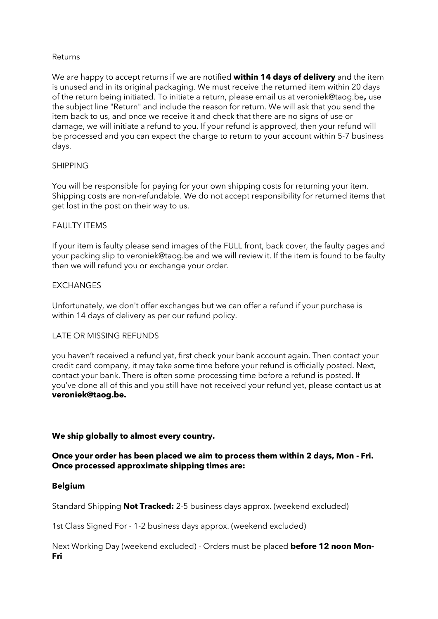## Returns

We are happy to accept returns if we are notified **within 14 days of delivery** and the item is unused and in its original packaging. We must receive the returned item within 20 days of the return being initiated. To initiate a return, please email us at veroniek@taog.be**,** use the subject line "Return" and include the reason for return. We will ask that you send the item back to us, and once we receive it and check that there are no signs of use or damage, we will initiate a refund to you. If your refund is approved, then your refund will be processed and you can expect the charge to return to your account within 5-7 business days.

## SHIPPING

You will be responsible for paying for your own shipping costs for returning your item. Shipping costs are non-refundable. We do not accept responsibility for returned items that get lost in the post on their way to us.

## FAULTY **ITEMS**

If your item is faulty please send images of the FULL front, back cover, the faulty pages and your packing slip to veroniek@taog.be and we will review it. If the item is found to be faulty then we will refund you or exchange your order.

## **EXCHANGES**

Unfortunately, we don't offer exchanges but we can offer a refund if your purchase is within 14 days of delivery as per our refund policy.

#### LATE OR MISSING REFUNDS

you haven't received a refund yet, first check your bank account again. Then contact your credit card company, it may take some time before your refund is officially posted. Next, contact your bank. There is often some processing time before a refund is posted. If you've done all of this and you still have not received your refund yet, please contact us at **veroniek@taog.be.**

#### **We ship globally to almost every country.**

## **Once your order has been placed we aim to process them within 2 days, Mon - Fri. Once processed approximate shipping times are:**

# **Belgium**

Standard Shipping **Not Tracked:** 2-5 business days approx. (weekend excluded)

1st Class Signed For - 1-2 business days approx. (weekend excluded)

Next Working Day (weekend excluded) - Orders must be placed **before 12 noon Mon-Fri**